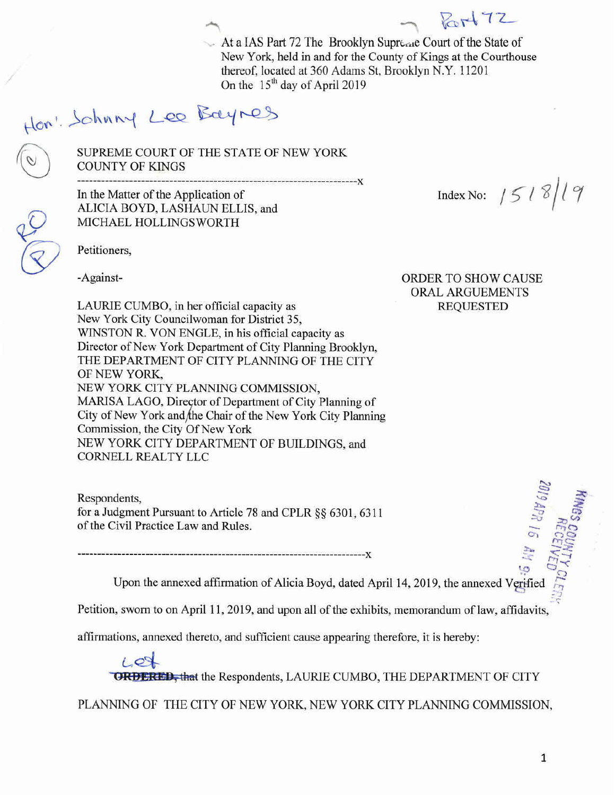At a IAS Part 72 The Brooklyn Supreme Court of the State of New York, held in and for the County of Kings at the Courthouse thereof, located at 360 Adams St, Brooklyn N.Y. 11201 On the 15<sup>th</sup> day of April 2019

## Hon: Schnny Lee Bayres

SUPREME COURT OF THE STATE OF NEW YORK COUNTY OF KINGS

----------------------------------------------------------------------)( In the Matter of the Application of ALICIA BOYD, LASHAUN ELLIS, and MICHAEL HOLLINGSWORTH

Index No:  $/5/8/19$ 

Petitioners,

LAURIE CUMBO, in her official capacity as REQUESTED New York City Councilwoman for District 35, WINSTON R. VON ENGLE, in his official capacity as Director of New York Department of City Planning Brooklyn, THE DEPARTMENT OF CITY PLANNING OF THE CITY OF NEW YORK, NEW YORK CITY PLANNING COMMISSION, MARISA LAGO, Director of Department of City Planning of City of New York and the Chair of the New York City Planning Commission, the City Of New York NEW YORK CITY DEPARTMENT OF BUILDINGS, and CORNELL REALTY LLC

Respondents, for a Judgment Pursuant to Article 78 and CPLR §§ 6301, 6311 of the Civil Practice Law and Rules.

------------------------------------------------------------------------)(

-Against- ORDER TO SHOW CAUSE ORAL ARGUEMENTS

 $Rot72$ 

Upon the annexed affirmation of Alicia Boyd, dated April 14, 2019, the annexed V

Petition, sworn to on April 11, 2019, and upon all of the exhibits, memorandum of law, affidavits,

affirmations, annexed thereto, and sufficient cause appearing therefore, it is hereby:

 $L_{\mathcal{O}}$ **GRDERED, that the Respondents, LAURIE CUMBO, THE DEPARTMENT OF CITY** 

PLANNING OF THE CITY OF NEW YORK, NEW YORK CITY PLANNING COMMISSION,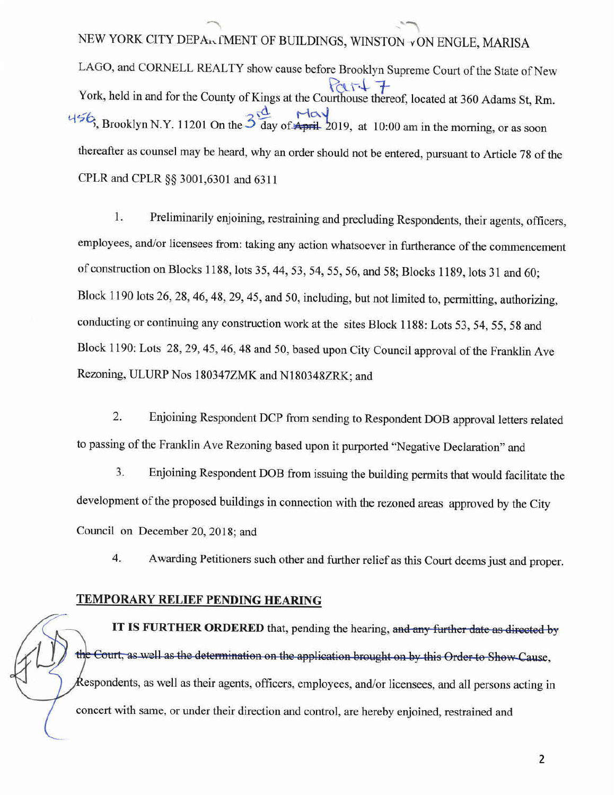NEW YORK CITY DEPARTMENT OF BUILDINGS, WINSTON VON ENGLE, MARISA LAGO, and CORNELL REALTY show cause before Brooklyn Supreme Court of the State of New  $PartI$ York, held in and for the County of Kings at the Courthouse thereof, located at 360 Adams St, Rm.  $456$  point  $N_{V}$   $12010 + 254$  May  $5\frac{1}{3}$ , Brooklyn N.Y. 11201 On the  $\frac{1}{3}$  day of April 2019, at 10:00 am in the morning, or as soon thereafter as counsel may be heard, why an order should not be entered, pursuant to Article 78 of the CPLR and CPLR §§ 3001,6301 and 6311

"""" "-

1. Preliminarily enjoining, restraining and precluding Respondents, their agents, officers, employees, and/or licensees from: taking any action whatsoever in furtherance of the commencement of construction on Blocks 1188, lots 35, 44, 53, 54, 55, 56, and 58; Blocks 1189, lots 31 and 60; Block 1190 lots 26, 28, 46, 48, 29, 45, and 50, including, but not limited to, permitting, authorizing, conducting or continuing any construction work at the sites Block 1188: Lots 53, 54, 55, 58 and Block 1190: Lots 28,29,45,46,48 and 50, based upon City Council approval of the Franklin Ave Rezoning, ULURP Nos l80347ZMK and N180348ZRK; and

2. Enjoining Respondent DCP from sending to Respondent DOB approval letters related to passing of the Franklin Ave Rezoning based upon it purported "Negative Declaration" and

3. Enjoining Respondent DOB from issuing the building permits that would facilitate the development of the proposed buildings in connection with the rezoned areas approved by the City Council on December 20,2018; and

4. Awarding Petitioners such other and further relief as this Court deems just and proper.

## **TEMPORARY RELIEF PENDING HEARING**

**IT IS FURTHER ORDERED** that, pending the hearing, and any further date as directed by the Court, as well as the determination on the application brought on by this Order to Show Cause. Respondents, as well as their agents, officers, employees, and/or licensees, and all persons acting in concert with same, or under their direction and control, are hereby enjoined, restrained and